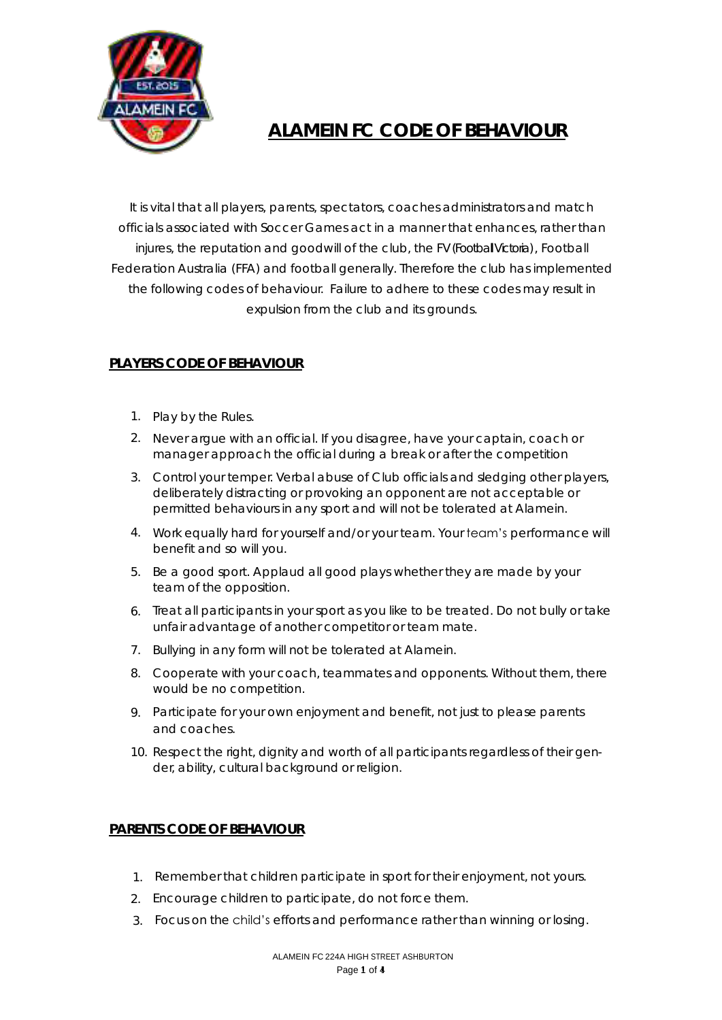

# **ALAMEIN FC CODE OF BEHAVIOUR**

It is vital that all players, parents, spectators, coaches administrators and match officials associated with Soccer Games act in a manner that enhances, rather than injures, the reputation and goodwill of the club, the FV (Football Victoria) , Football Federation Australia (FFA) and football generally. Therefore the club has implemented the following codes of behaviour. Failure to adhere to these codes may result in expulsion from the club and its grounds.

# **PLAYERS CODE OF BEHAVIOUR**

- 1. Play by the Rules.
- 2. Never argue with an official. If you disagree, have your captain, coach or manager approach the official during a break or after the competition
- 3. Control your temper. Verbal abuse of Club officials and sledging other players, deliberately distracting or provoking an opponent are not acceptable or permitted behaviours in any sport and will not be tolerated at Alamein.
- 4. Work equally hard for yourself and/or your team. Your team's performance will benefit and so will you.
- 5. Be a good sport. Applaud all good plays whether they are made by your team of the opposition.
- 6. Treat all participants in your sport as you like to be treated. Do not bully or take unfair advantage of another competitor or team mate.
- 7. Bullying in any form will not be tolerated at Alamein.
- 8. Cooperate with your coach, teammates and opponents. Without them, there would be no competition.
- 9. Participate for your own enjoyment and benefit, not just to please parents and coaches.
- 10. Respect the right, dignity and worth of all participants regardless of their gender, ability, cultural background or religion.

## **PARENTS CODE OF BEHAVIOUR**

- 1. Remember that children participate in sport for their enjoyment, not yours.
- 2. Encourage children to participate, do not force them.
- 3. Focus on the child's efforts and performance rather than winning or losing.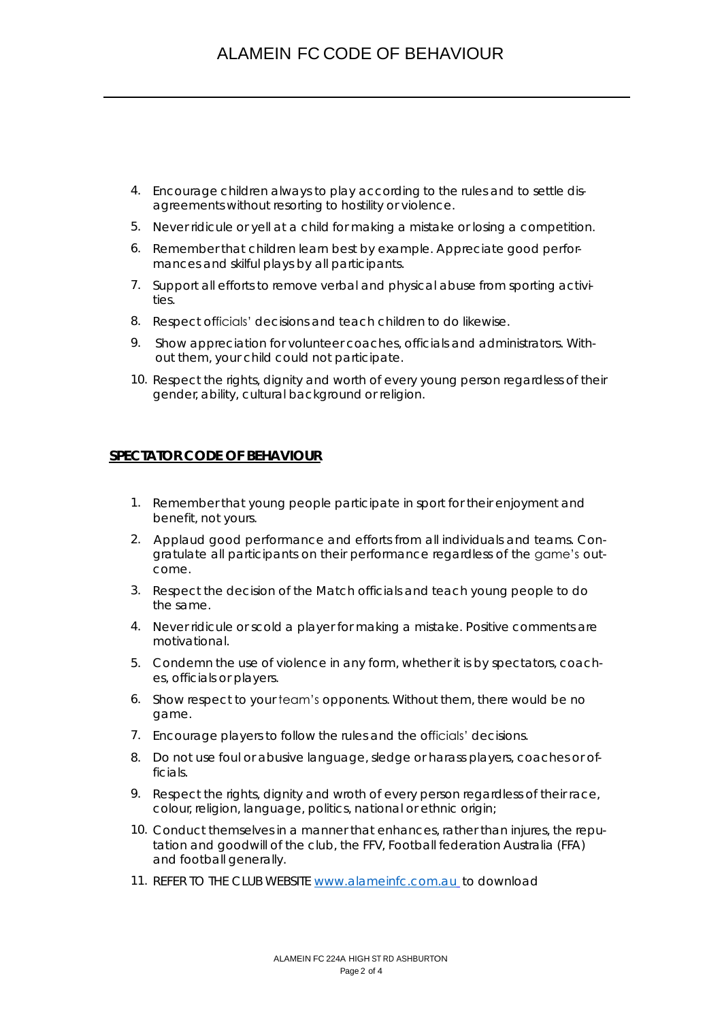- 4. Encourage children always to play according to the rules and to settle disagreements without resorting to hostility or violence.
- 5. Never ridicule or yell at a child for making a mistake or losing a competition.
- 6. Remember that children learn best by example. Appreciate good performances and skilful plays by all participants.
- 7. Support all efforts to remove verbal and physical abuse from sporting activities.
- 8. Respect officials' decisions and teach children to do likewise.
- 9. Show appreciation for volunteer coaches, officials and administrators. Without them, your child could not participate.
- 10. Respect the rights, dignity and worth of every young person regardless of their gender, ability, cultural background or religion.

#### **SPECTATOR CODE OF BEHAVIOUR**

- 1. Remember that young people participate in sport for their enjoyment and benefit, not yours.
- 2. Applaud good performance and efforts from all individuals and teams. Congratulate all participants on their performance regardless of the game's outcome.
- 3. Respect the decision of the Match officials and teach young people to do the same.
- 4. Never ridicule or scold a player for making a mistake. Positive comments are motivational.
- 5. Condemn the use of violence in any form, whether it is by spectators, coaches, officials or players.
- 6. Show respect to your team's opponents. Without them, there would be no game.
- 7. Encourage players to follow the rules and the officials' decisions.
- 8. Do not use foul or abusive language, sledge or harass players, coaches or officials.
- 9. Respect the rights, dignity and wroth of every person regardless of their race, colour, religion, language, politics, national or ethnic origin;
- 10. Conduct themselves in a manner that enhances, rather than injures, the reputation and goodwill of the club, the FFV, Football federation Australia (FFA) and football generally.
- 11. REFER TO THE CLUB WEBSITE [www.alameinfc.com.au](http://www.alameinfc.com.au/) to download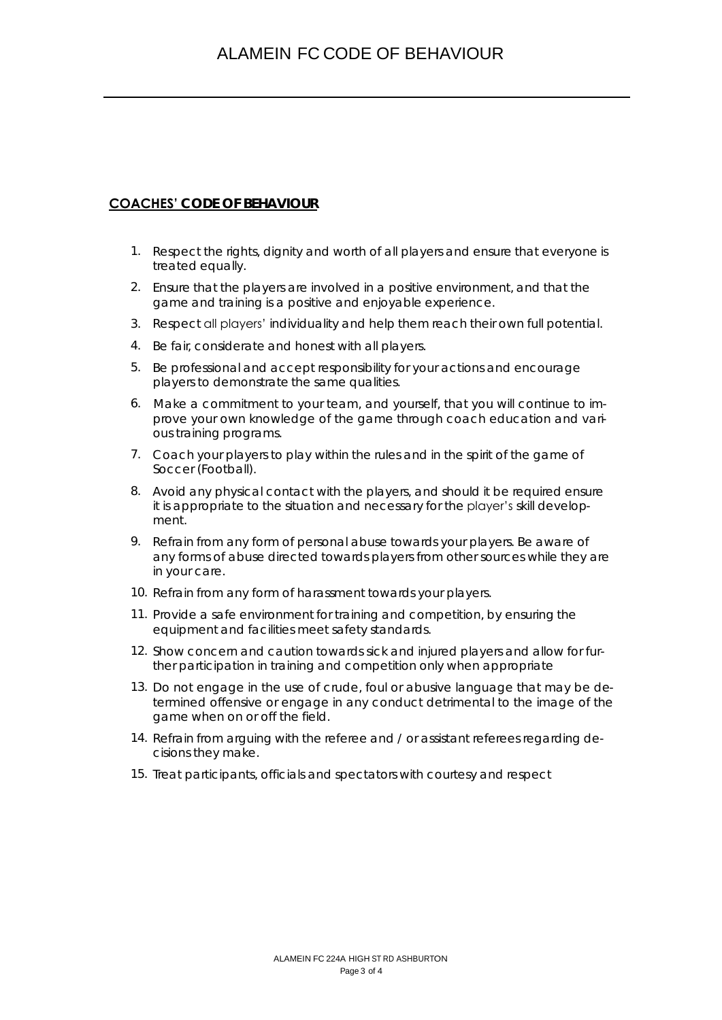## **COACHES' CODE OF BEHAVIOUR**

- 1. Respect the rights, dignity and worth of all players and ensure that everyone is treated equally.
- 2. Ensure that the players are involved in a positive environment, and that the game and training is a positive and enjoyable experience.
- 3. Respect all players' individuality and help them reach their own full potential.
- 4. Be fair, considerate and honest with all players.
- 5. Be professional and accept responsibility for your actions and encourage players to demonstrate the same qualities.
- 6. Make a commitment to your team, and yourself, that you will continue to improve your own knowledge of the game through coach education and various training programs.
- 7. Coach your players to play within the rules and in the spirit of the game of Soccer (Football).
- 8. Avoid any physical contact with the players, and should it be required ensure it is appropriate to the situation and necessary for the player's skill development.
- 9. Refrain from any form of personal abuse towards your players. Be aware of any forms of abuse directed towards players from other sources while they are in your care.
- 10. Refrain from any form of harassment towards your players.
- 11. Provide a safe environment for training and competition, by ensuring the equipment and facilities meet safety standards.
- 12. Show concern and caution towards sick and injured players and allow for further participation in training and competition only when appropriate
- 13. Do not engage in the use of crude, foul or abusive language that may be determined offensive or engage in any conduct detrimental to the image of the game when on or off the field.
- 14. Refrain from arguing with the referee and / or assistant referees regarding decisions they make.
- 15. Treat participants, officials and spectators with courtesy and respect